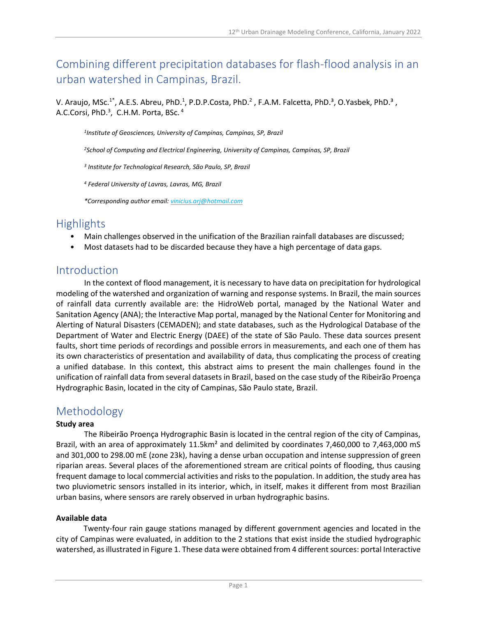# Combining different precipitation databases for flash-flood analysis in an urban watershed in Campinas, Brazil.

V. Araujo, MSc.<sup>1\*</sup>, A.E.S. Abreu, PhD.<sup>1</sup>, P.D.P.Costa, PhD.<sup>2</sup>, F.A.M. Falcetta, PhD.<sup>3</sup>, O.Yasbek, PhD.<sup>3</sup>, A.C.Corsi, PhD. $^3$ , C.H.M. Porta, BSc.  $^4$ 

*1 Institute of Geosciences, University of Campinas, Campinas, SP, Brazil*

*<sup>2</sup>School of Computing and Electrical Engineering, University of Campinas, Campinas, SP, Brazil*

*3 Institute for Technological Research, São Paulo, SP, Brazil*

*<sup>4</sup> Federal University of Lavras, Lavras, MG, Brazil*

*\*Corresponding author email: vinicius.arj@hotmail.com*

# **Highlights**

- Main challenges observed in the unification of the Brazilian rainfall databases are discussed;
- Most datasets had to be discarded because they have a high percentage of data gaps.

### Introduction

In the context of flood management, it is necessary to have data on precipitation for hydrological modeling of the watershed and organization of warning and response systems. In Brazil, the main sources of rainfall data currently available are: the HidroWeb portal, managed by the National Water and Sanitation Agency (ANA); the Interactive Map portal, managed by the National Center for Monitoring and Alerting of Natural Disasters (CEMADEN); and state databases, such as the Hydrological Database of the Department of Water and Electric Energy (DAEE) of the state of São Paulo. These data sources present faults, short time periods of recordings and possible errors in measurements, and each one of them has its own characteristics of presentation and availability of data, thus complicating the process of creating a unified database. In this context, this abstract aims to present the main challenges found in the unification of rainfall data from several datasets in Brazil, based on the case study of the Ribeirão Proença Hydrographic Basin, located in the city of Campinas, São Paulo state, Brazil.

## Methodology

#### **Study area**

The Ribeirão Proença Hydrographic Basin is located in the central region of the city of Campinas, Brazil, with an area of approximately 11.5km<sup>2</sup> and delimited by coordinates 7,460,000 to 7,463,000 mS and 301,000 to 298.00 mE (zone 23k), having a dense urban occupation and intense suppression of green riparian areas. Several places of the aforementioned stream are critical points of flooding, thus causing frequent damage to local commercial activities and risks to the population. In addition, the study area has two pluviometric sensors installed in its interior, which, in itself, makes it different from most Brazilian urban basins, where sensors are rarely observed in urban hydrographic basins.

#### **Available data**

Twenty-four rain gauge stations managed by different government agencies and located in the city of Campinas were evaluated, in addition to the 2 stations that exist inside the studied hydrographic watershed, as illustrated in Figure 1. These data were obtained from 4 different sources: portal Interactive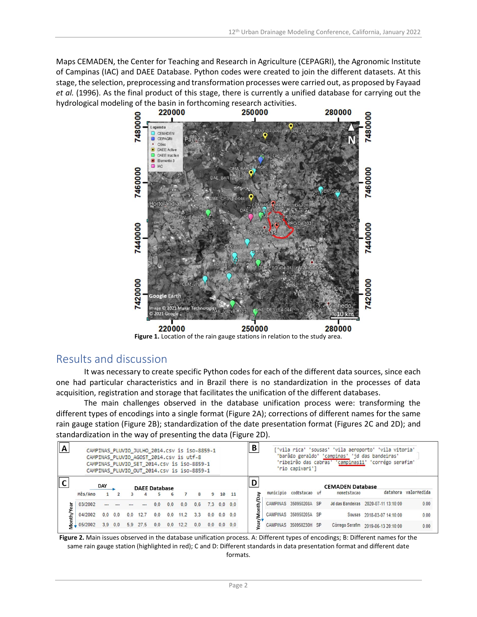Maps CEMADEN, the Center for Teaching and Research in Agriculture (CEPAGRI), the Agronomic Institute of Campinas (IAC) and DAEE Database. Python codes were created to join the different datasets. At this stage, the selection, preprocessing and transformation processes were carried out, as proposed by Fayaad *et al.* (1996). As the final product of this stage, there is currently a unified database for carrying out the hydrological modeling of the basin in forthcoming research activities.



**Figure 1.** Location of the rain gauge stations in relation to the study area.

## Results and discussion

It was necessary to create specific Python codes for each of the different data sources, since each one had particular characteristics and in Brazil there is no standardization in the processes of data acquisition, registration and storage that facilitates the unification of the different databases.

The main challenges observed in the database unification process were: transforming the different types of encodings into a single format (Figure 2A); corrections of different names for the same rain gauge station (Figure 2B); standardization of the date presentation format (Figures 2C and 2D); and standardization in the way of presenting the data (Figure 2D).

| $\overline{\mathbf{A}}$ | CAMPINAS PLUVIO JULHO 2014.CSV is iso-8859-1<br>CAMPINAS PLUVIO AGOST 2014.CSV is utf-8<br>CAMPINAS PLUVIO SET 2014.CSV is iso-8859-1<br>CAMPINAS PLUVIO OUT 2014.CSV is iso-8859-1 |            |     |     |                      |     |     |      |     |     | В<br>['vila rica' 'sousas' 'vila aeroporto' 'vila vitoria'<br>'barã£o geraldo' 'campinas' 'jd das bandeiras'<br>'ribeirão das cabras' 'campinas11' 'corrégo serafim'<br>'rio capivari'] |                 |                |  |                         |  |                                        |                                      |                      |
|-------------------------|-------------------------------------------------------------------------------------------------------------------------------------------------------------------------------------|------------|-----|-----|----------------------|-----|-----|------|-----|-----|-----------------------------------------------------------------------------------------------------------------------------------------------------------------------------------------|-----------------|----------------|--|-------------------------|--|----------------------------------------|--------------------------------------|----------------------|
|                         | Mês/Ano                                                                                                                                                                             | <b>DAY</b> |     |     | <b>DAFF Database</b> |     | 6   |      | 8   | 9   |                                                                                                                                                                                         | 10 11           | D              |  | municipio codEstacao uf |  | <b>CEMADEN Database</b><br>nomeEstacao |                                      | datahora valorMedida |
| Year                    | 03/2002                                                                                                                                                                             |            |     |     |                      | 0.0 | 0.0 | 0.0  | 0.6 | 7.3 |                                                                                                                                                                                         | $0.0 \quad 0.0$ | ēđ<br>r/Month/ |  | CAMPINAS 350950208A SP  |  |                                        | Jd das Bandeiras 2020-07-11 13:10:00 | 0.00                 |
|                         | 04/2002                                                                                                                                                                             | 0.0        | 0.0 | 0.0 | 12.7                 | 0.0 | 0.0 | 11.2 | 3.3 | 0.0 |                                                                                                                                                                                         | $0.0 \quad 0.0$ |                |  | CAMPINAS 350950205A SP  |  |                                        | Sousas 2018-03-07 14:10:00           | 0.00                 |
|                         | 05/2002                                                                                                                                                                             | 3.9        | 0.0 | 5.9 | 27.5                 | 0.0 | 0.0 | 12.2 | 0.0 |     | $0.0$ 0.0 0.0                                                                                                                                                                           |                 | ā              |  | CAMPINAS 350950230H SP  |  |                                        | Córrego Serafim 2019-06-13 20:10:00  | 0.00                 |

**Figure 2.** Main issues observed in the database unification process. A: Different types of encodings; B: Different names for the same rain gauge station (highlighted in red); C and D: Different standards in data presentation format and different date formats.